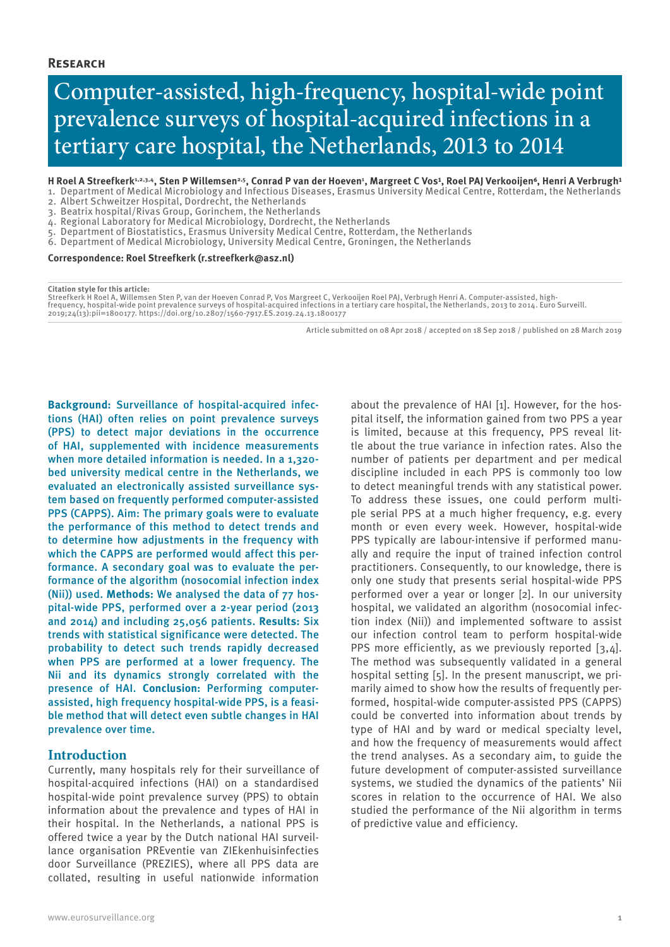# Computer-assisted, high-frequency, hospital-wide point prevalence surveys of hospital-acquired infections in a tertiary care hospital, the Netherlands, 2013 to 2014

H Roel A Streefkerk½3,4, Sten P Willemsen<sup>2,5</sup>, Conrad P van der Hoeven<del>'</del>, Margreet C Vos½, Roel PAJ Verkooijen6, Henri A Verbrugh?

- 1. Department of Medical Microbiology and Infectious Diseases, Erasmus University Medical Centre, Rotterdam, the Netherlands
- 2. Albert Schweitzer Hospital, Dordrecht, the Netherlands
- 3. Beatrix hospital/Rivas Group, Gorinchem, the Netherlands
- 4. Regional Laboratory for Medical Microbiology, Dordrecht, the Netherlands
- 5. Department of Biostatistics, Erasmus University Medical Centre, Rotterdam, the Netherlands
- 6. Department of Medical Microbiology, University Medical Centre, Groningen, the Netherlands

**Correspondence: Roel Streefkerk (r.streefkerk@asz.nl)**

**Citation style for this article:**

Streefkerk H Roel A, Willemsen Sten P, van der Hoeven Conrad P, Vos Margreet C, Verkooijen Roel PAJ, Verbrugh Henri A. Computer-assisted, high-<br>frequency, hospital-wide point prevalence surveys of hospital-acquired infecti 2019;24(13):pii=1800177. https://doi.org/10.2807/1560-7917.ES.2019.24.13.1800177

Article submitted on 08 Apr 2018 / accepted on 18 Sep 2018 / published on 28 March 2019

**Background:** Surveillance of hospital-acquired infections (HAI) often relies on point prevalence surveys (PPS) to detect major deviations in the occurrence of HAI, supplemented with incidence measurements when more detailed information is needed. In a 1,320 bed university medical centre in the Netherlands, we evaluated an electronically assisted surveillance system based on frequently performed computer-assisted PPS (CAPPS). Aim: The primary goals were to evaluate the performance of this method to detect trends and to determine how adjustments in the frequency with which the CAPPS are performed would affect this performance. A secondary goal was to evaluate the performance of the algorithm (nosocomial infection index (Nii)) used. **Methods:** We analysed the data of 77 hospital-wide PPS, performed over a 2-year period (2013 and 2014) and including 25,056 patients. **Results:** Six trends with statistical significance were detected. The probability to detect such trends rapidly decreased when PPS are performed at a lower frequency. The Nii and its dynamics strongly correlated with the presence of HAI. **Conclusion:** Performing computerassisted, high frequency hospital-wide PPS, is a feasible method that will detect even subtle changes in HAI prevalence over time.

## **Introduction**

Currently, many hospitals rely for their surveillance of hospital-acquired infections (HAI) on a standardised hospital-wide point prevalence survey (PPS) to obtain information about the prevalence and types of HAI in their hospital. In the Netherlands, a national PPS is offered twice a year by the Dutch national HAI surveillance organisation PREventie van ZIEkenhuisinfecties door Surveillance (PREZIES), where all PPS data are collated, resulting in useful nationwide information

about the prevalence of HAI [1]. However, for the hospital itself, the information gained from two PPS a year is limited, because at this frequency, PPS reveal little about the true variance in infection rates. Also the number of patients per department and per medical discipline included in each PPS is commonly too low to detect meaningful trends with any statistical power. To address these issues, one could perform multiple serial PPS at a much higher frequency, e.g. every month or even every week. However, hospital-wide PPS typically are labour-intensive if performed manually and require the input of trained infection control practitioners. Consequently, to our knowledge, there is only one study that presents serial hospital-wide PPS performed over a year or longer [2]. In our university hospital, we validated an algorithm (nosocomial infection index (Nii)) and implemented software to assist our infection control team to perform hospital-wide PPS more efficiently, as we previously reported [3,4]. The method was subsequently validated in a general hospital setting [5]. In the present manuscript, we primarily aimed to show how the results of frequently performed, hospital-wide computer-assisted PPS (CAPPS) could be converted into information about trends by type of HAI and by ward or medical specialty level, and how the frequency of measurements would affect the trend analyses. As a secondary aim, to guide the future development of computer-assisted surveillance systems, we studied the dynamics of the patients' Nii scores in relation to the occurrence of HAI. We also studied the performance of the Nii algorithm in terms of predictive value and efficiency.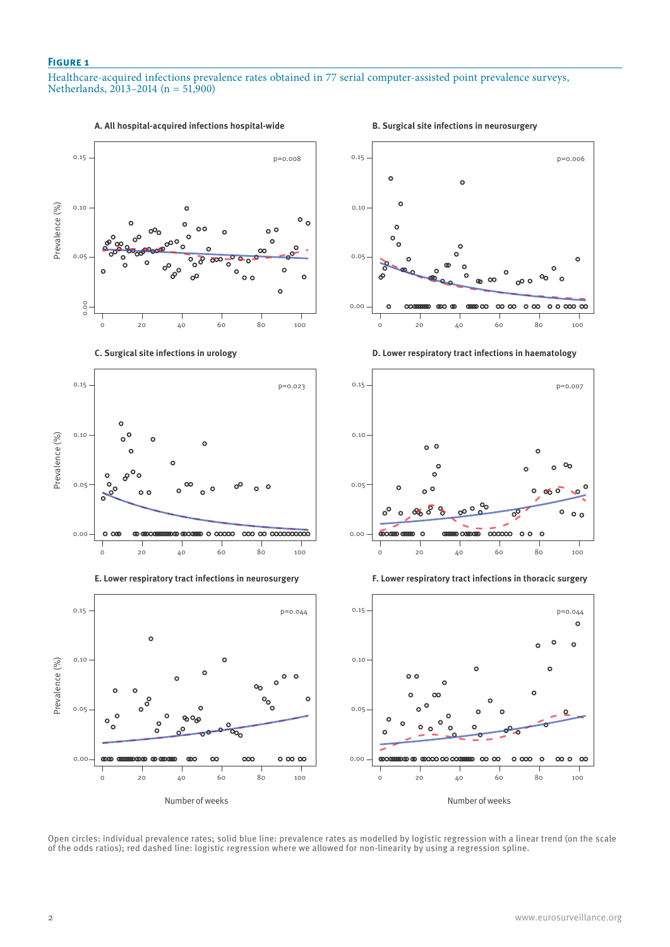Healthcare-acquired infections prevalence rates obtained in 77 serial computer-assisted point prevalence surveys, Netherlands, 2013–2014 (n = 51,900)



Open circles: individual prevalence rates; solid blue line: prevalence rates as modelled by logistic regression with a linear trend (on the scale of the odds ratios); red dashed line: logistic regression where we allowed for non-linearity by using a regression spline.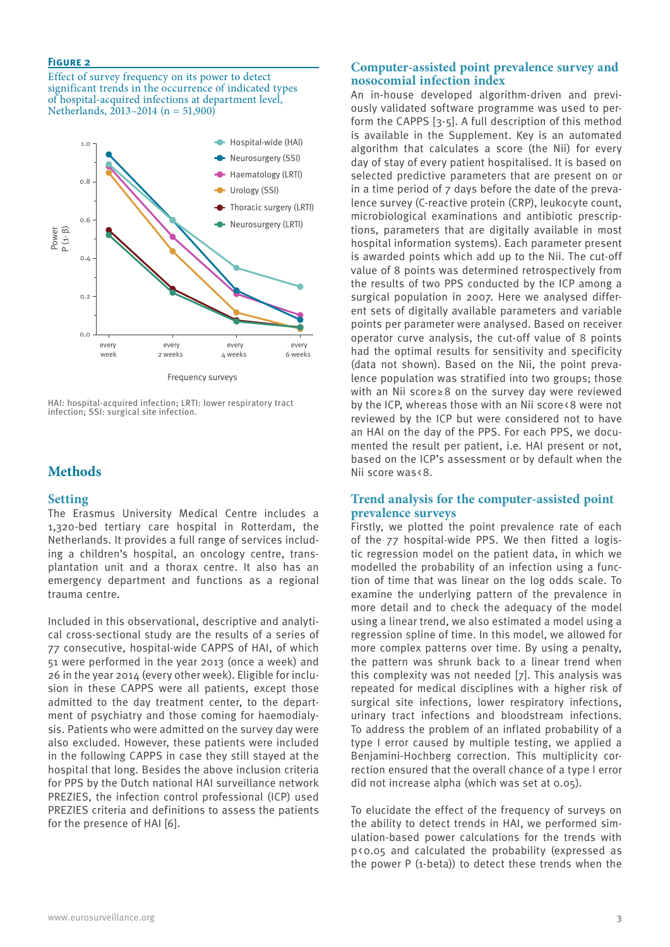Effect of survey frequency on its power to detect significant trends in the occurrence of indicated types of hospital-acquired infections at department level, Netherlands, 2013–2014 (n = 51,900)



HAI: hospital-acquired infection; LRTI: lower respiratory tract infection; SSI: surgical site infection.

# **Methods**

#### **Setting**

The Erasmus University Medical Centre includes a 1,320-bed tertiary care hospital in Rotterdam, the Netherlands. It provides a full range of services including a children's hospital, an oncology centre, transplantation unit and a thorax centre. It also has an emergency department and functions as a regional trauma centre.

Included in this observational, descriptive and analytical cross-sectional study are the results of a series of 77 consecutive, hospital-wide CAPPS of HAI, of which 51 were performed in the year 2013 (once a week) and 26 in the year 2014 (every other week). Eligible for inclusion in these CAPPS were all patients, except those admitted to the day treatment center, to the department of psychiatry and those coming for haemodialysis. Patients who were admitted on the survey day were also excluded. However, these patients were included in the following CAPPS in case they still stayed at the hospital that long. Besides the above inclusion criteria for PPS by the Dutch national HAI surveillance network PREZIES, the infection control professional (ICP) used PREZIES criteria and definitions to assess the patients for the presence of HAI [6].

# **Computer-assisted point prevalence survey and nosocomial infection index**

An in-house developed algorithm-driven and previously validated software programme was used to perform the CAPPS [3-5]. A full description of this method is available in the Supplement. Key is an automated algorithm that calculates a score (the Nii) for every day of stay of every patient hospitalised. It is based on selected predictive parameters that are present on or in a time period of 7 days before the date of the prevalence survey (C-reactive protein (CRP), leukocyte count, microbiological examinations and antibiotic prescriptions, parameters that are digitally available in most hospital information systems). Each parameter present is awarded points which add up to the Nii. The cut-off value of 8 points was determined retrospectively from the results of two PPS conducted by the ICP among a surgical population in 2007. Here we analysed different sets of digitally available parameters and variable points per parameter were analysed. Based on receiver operator curve analysis, the cut-off value of 8 points had the optimal results for sensitivity and specificity (data not shown). Based on the Nii, the point prevalence population was stratified into two groups; those with an Nii score≥8 on the survey day were reviewed by the ICP, whereas those with an Nii score<8 were not reviewed by the ICP but were considered not to have an HAI on the day of the PPS. For each PPS, we documented the result per patient, i.e. HAI present or not, based on the ICP's assessment or by default when the Nii score was <8.

## **Trend analysis for the computer-assisted point prevalence surveys**

Firstly, we plotted the point prevalence rate of each of the 77 hospital-wide PPS. We then fitted a logistic regression model on the patient data, in which we modelled the probability of an infection using a function of time that was linear on the log odds scale. To examine the underlying pattern of the prevalence in more detail and to check the adequacy of the model using a linear trend, we also estimated a model using a regression spline of time. In this model, we allowed for more complex patterns over time. By using a penalty, the pattern was shrunk back to a linear trend when this complexity was not needed [7]. This analysis was repeated for medical disciplines with a higher risk of surgical site infections, lower respiratory infections, urinary tract infections and bloodstream infections. To address the problem of an inflated probability of a type I error caused by multiple testing, we applied a Benjamini-Hochberg correction. This multiplicity correction ensured that the overall chance of a type I error did not increase alpha (which was set at 0.05).

To elucidate the effect of the frequency of surveys on the ability to detect trends in HAI, we performed simulation-based power calculations for the trends with p<0.05 and calculated the probability (expressed as the power P (1-beta)) to detect these trends when the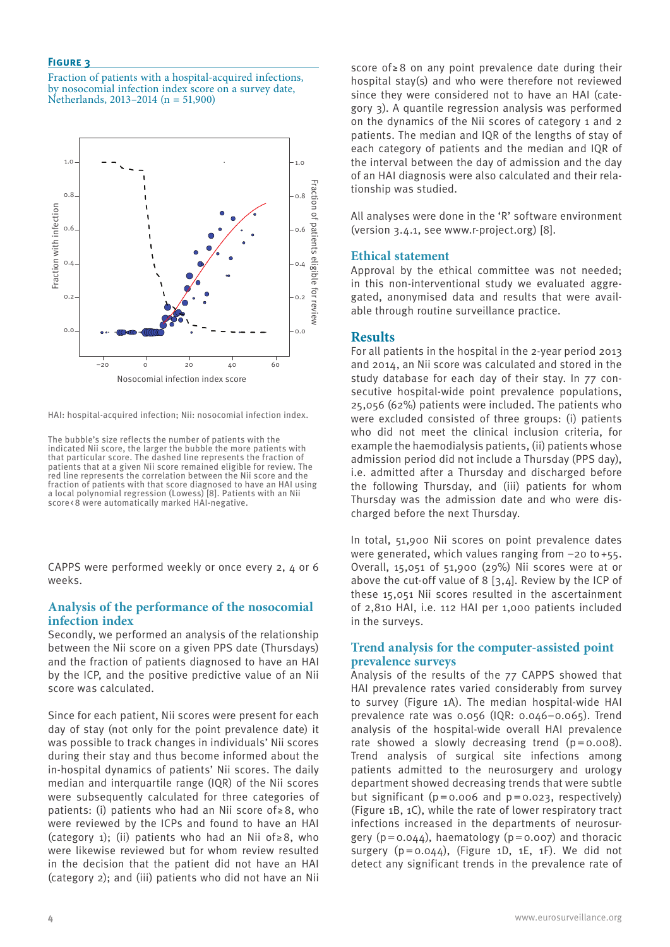Fraction of patients with a hospital-acquired infections, by nosocomial infection index score on a survey date, Netherlands, 2013–2014 (n = 51,900)



HAI: hospital-acquired infection; Nii: nosocomial infection index.

The bubble's size reflects the number of patients with the indicated Nii score, the larger the bubble the more patients with that particular score. The dashed line represents the fraction of patients that at a given Nii score remained eligible for review. The red line represents the correlation between the Nii score and the fraction of patients with that score diagnosed to have an HAI using a local polynomial regression (Lowess) [8]. Patients with an Nii score <8 were automatically marked HAI-negative.

CAPPS were performed weekly or once every 2, 4 or 6 weeks.

#### **Analysis of the performance of the nosocomial infection index**

Secondly, we performed an analysis of the relationship between the Nii score on a given PPS date (Thursdays) and the fraction of patients diagnosed to have an HAI by the ICP, and the positive predictive value of an Nii score was calculated.

Since for each patient, Nii scores were present for each day of stay (not only for the point prevalence date) it was possible to track changes in individuals' Nii scores during their stay and thus become informed about the in-hospital dynamics of patients' Nii scores. The daily median and interquartile range (IQR) of the Nii scores were subsequently calculated for three categories of patients: (i) patients who had an Nii score of≥8, who were reviewed by the ICPs and found to have an HAI (category 1); (ii) patients who had an Nii of  $\geq 8$ , who were likewise reviewed but for whom review resulted in the decision that the patient did not have an HAI (category 2); and (iii) patients who did not have an Nii

score of≥8 on any point prevalence date during their hospital stay(s) and who were therefore not reviewed since they were considered not to have an HAI (category 3). A quantile regression analysis was performed on the dynamics of the Nii scores of category 1 and 2 patients. The median and IQR of the lengths of stay of each category of patients and the median and IQR of the interval between the day of admission and the day of an HAI diagnosis were also calculated and their relationship was studied.

All analyses were done in the 'R' software environment (version 3.4.1, see www.r-project.org) [8].

#### **Ethical statement**

Approval by the ethical committee was not needed; in this non-interventional study we evaluated aggregated, anonymised data and results that were available through routine surveillance practice.

## **Results**

For all patients in the hospital in the 2-year period 2013 and 2014, an Nii score was calculated and stored in the study database for each day of their stay. In 77 consecutive hospital-wide point prevalence populations, 25,056 (62%) patients were included. The patients who were excluded consisted of three groups: (i) patients who did not meet the clinical inclusion criteria, for example the haemodialysis patients, (ii) patients whose admission period did not include a Thursday (PPS day), i.e. admitted after a Thursday and discharged before the following Thursday, and (iii) patients for whom Thursday was the admission date and who were discharged before the next Thursday.

In total, 51,900 Nii scores on point prevalence dates were generated, which values ranging from −20 to+55. Overall, 15,051 of 51,900 (29%) Nii scores were at or above the cut-off value of 8 [3,4]. Review by the ICP of these 15,051 Nii scores resulted in the ascertainment of 2,810 HAI, i.e. 112 HAI per 1,000 patients included in the surveys.

## **Trend analysis for the computer-assisted point prevalence surveys**

Analysis of the results of the 77 CAPPS showed that HAI prevalence rates varied considerably from survey to survey (Figure 1A). The median hospital-wide HAI prevalence rate was 0.056 (IQR: 0.046–0.065). Trend analysis of the hospital-wide overall HAI prevalence rate showed a slowly decreasing trend  $(p=0.008)$ . Trend analysis of surgical site infections among patients admitted to the neurosurgery and urology department showed decreasing trends that were subtle but significant ( $p=0.006$  and  $p=0.023$ , respectively) (Figure 1B, 1C), while the rate of lower respiratory tract infections increased in the departments of neurosurgery  $(p=0.044)$ , haematology  $(p=0.007)$  and thoracic surgery  $(p=0.044)$ , (Figure 1D, 1E, 1F). We did not detect any significant trends in the prevalence rate of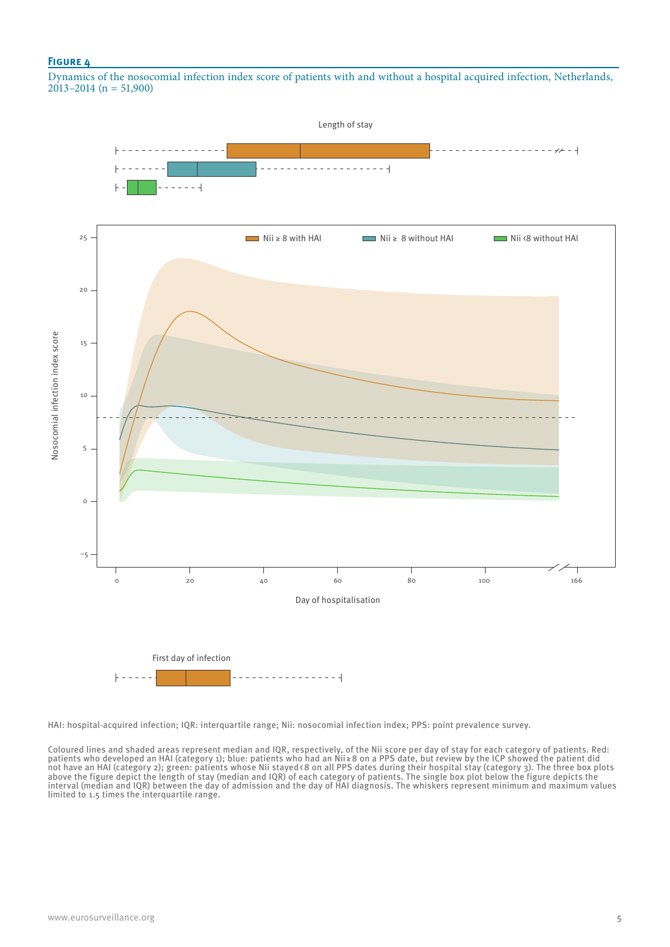Dynamics of the nosocomial infection index score of patients with and without a hospital acquired infection, Netherlands,  $2013 - 2014$  (n = 51,900)



HAI: hospital-acquired infection; IQR: interquartile range; Nii: nosocomial infection index; PPS: point prevalence survey.

Coloured lines and shaded areas represent median and IQR, respectively, of the Nii score per day of stay for each category of patients. Red: patients who developed an HAI (category 1); blue: patients who had an Nii ≥8 on a PPS date, but review by the ICP showed the patient did not have an HAI (category 2); green: patients whose Nii stayed<8 on all PPS dates during their hospital stay (category 3). The three box plots above the figure depict the length of stay (median and IQR) of each category of patients. The single box plot below the figure depicts the interval (median and IQR) between the day of admission and the day of HAI diagnosis. The whiskers represent minimum and maximum values limited to 1.5 times the interquartile range.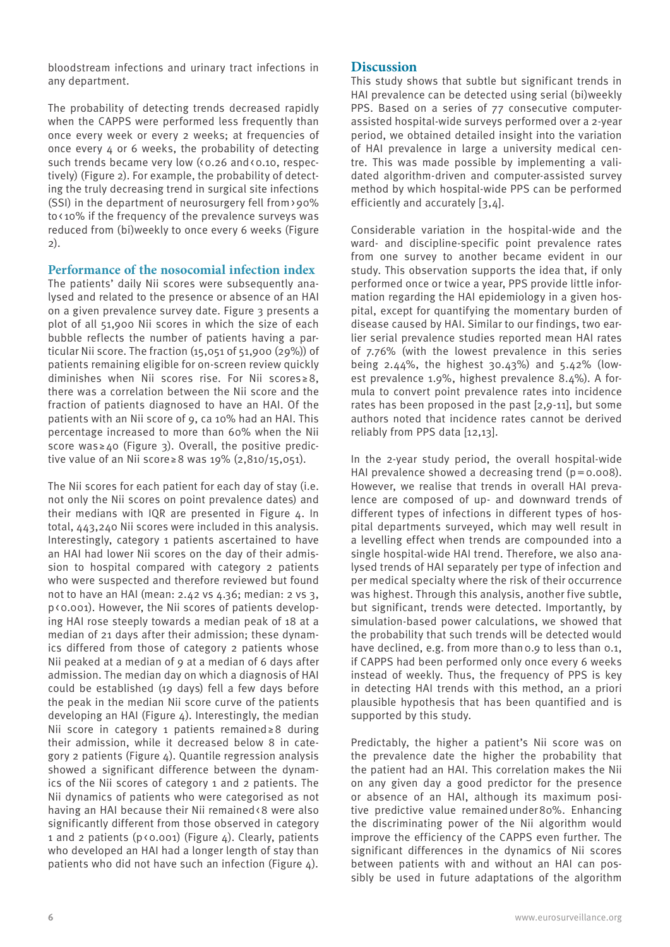bloodstream infections and urinary tract infections in any department.

The probability of detecting trends decreased rapidly when the CAPPS were performed less frequently than once every week or every 2 weeks; at frequencies of once every 4 or 6 weeks, the probability of detecting such trends became very low (<0.26 and <0.10, respectively) (Figure 2). For example, the probability of detecting the truly decreasing trend in surgical site infections (SSI) in the department of neurosurgery fell from>90% to< 10% if the frequency of the prevalence surveys was reduced from (bi)weekly to once every 6 weeks (Figure 2).

**Performance of the nosocomial infection index**

The patients' daily Nii scores were subsequently analysed and related to the presence or absence of an HAI on a given prevalence survey date. Figure 3 presents a plot of all 51,900 Nii scores in which the size of each bubble reflects the number of patients having a particular Nii score. The fraction (15,051 of 51,900 (29%)) of patients remaining eligible for on-screen review quickly diminishes when Nii scores rise. For Nii scores ≥8, there was a correlation between the Nii score and the fraction of patients diagnosed to have an HAI. Of the patients with an Nii score of 9, ca 10% had an HAI. This percentage increased to more than 60% when the Nii score was  $\geq$  40 (Figure 3). Overall, the positive predictive value of an Nii score≥8 was 19% (2,810/15,051).

The Nii scores for each patient for each day of stay (i.e. not only the Nii scores on point prevalence dates) and their medians with IQR are presented in Figure 4. In total, 443,240 Nii scores were included in this analysis. Interestingly, category 1 patients ascertained to have an HAI had lower Nii scores on the day of their admission to hospital compared with category 2 patients who were suspected and therefore reviewed but found not to have an HAI (mean: 2.42 vs 4.36; median: 2 vs 3, p<0.001). However, the Nii scores of patients developing HAI rose steeply towards a median peak of 18 at a median of 21 days after their admission; these dynamics differed from those of category 2 patients whose Nii peaked at a median of 9 at a median of 6 days after admission. The median day on which a diagnosis of HAI could be established (19 days) fell a few days before the peak in the median Nii score curve of the patients developing an HAI (Figure  $4$ ). Interestingly, the median Nii score in category 1 patients remained≥8 during their admission, while it decreased below 8 in category 2 patients (Figure 4). Quantile regression analysis showed a significant difference between the dynamics of the Nii scores of category 1 and 2 patients. The Nii dynamics of patients who were categorised as not having an HAI because their Nii remained<8 were also significantly different from those observed in category 1 and 2 patients ( $p \triangleleft 0.001)$  (Figure 4). Clearly, patients who developed an HAI had a longer length of stay than patients who did not have such an infection (Figure 4).

# **Discussion**

This study shows that subtle but significant trends in HAI prevalence can be detected using serial (bi)weekly PPS. Based on a series of 77 consecutive computerassisted hospital-wide surveys performed over a 2-year period, we obtained detailed insight into the variation of HAI prevalence in large a university medical centre. This was made possible by implementing a validated algorithm-driven and computer-assisted survey method by which hospital-wide PPS can be performed efficiently and accurately [3,4].

Considerable variation in the hospital-wide and the ward- and discipline-specific point prevalence rates from one survey to another became evident in our study. This observation supports the idea that, if only performed once or twice a year, PPS provide little information regarding the HAI epidemiology in a given hospital, except for quantifying the momentary burden of disease caused by HAI. Similar to our findings, two earlier serial prevalence studies reported mean HAI rates of 7.76% (with the lowest prevalence in this series being 2.44%, the highest 30.43%) and 5.42% (lowest prevalence 1.9%, highest prevalence 8.4%). A formula to convert point prevalence rates into incidence rates has been proposed in the past [2,9-11], but some authors noted that incidence rates cannot be derived reliably from PPS data [12,13].

In the 2-year study period, the overall hospital-wide HAI prevalence showed a decreasing trend  $(p=0.008)$ . However, we realise that trends in overall HAI prevalence are composed of up- and downward trends of different types of infections in different types of hospital departments surveyed, which may well result in a levelling effect when trends are compounded into a single hospital-wide HAI trend. Therefore, we also analysed trends of HAI separately per type of infection and per medical specialty where the risk of their occurrence was highest. Through this analysis, another five subtle, but significant, trends were detected. Importantly, by simulation-based power calculations, we showed that the probability that such trends will be detected would have declined, e.g. from more than 0.9 to less than 0.1, if CAPPS had been performed only once every 6 weeks instead of weekly. Thus, the frequency of PPS is key in detecting HAI trends with this method, an a priori plausible hypothesis that has been quantified and is supported by this study.

Predictably, the higher a patient's Nii score was on the prevalence date the higher the probability that the patient had an HAI. This correlation makes the Nii on any given day a good predictor for the presence or absence of an HAI, although its maximum positive predictive value remainedunder80%. Enhancing the discriminating power of the Nii algorithm would improve the efficiency of the CAPPS even further. The significant differences in the dynamics of Nii scores between patients with and without an HAI can possibly be used in future adaptations of the algorithm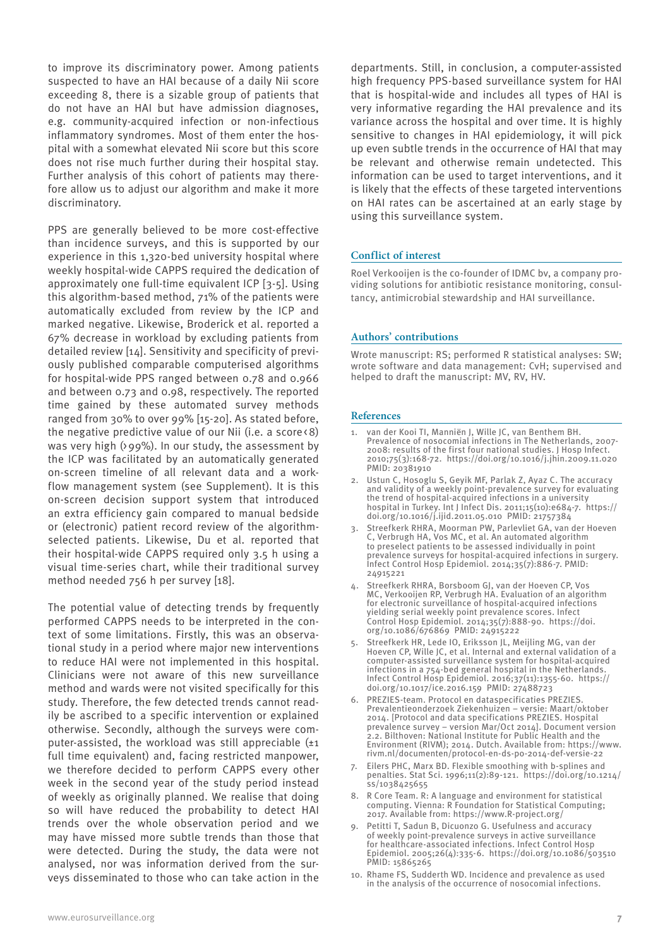to improve its discriminatory power. Among patients suspected to have an HAI because of a daily Nii score exceeding 8, there is a sizable group of patients that do not have an HAI but have admission diagnoses, e.g. community-acquired infection or non-infectious inflammatory syndromes. Most of them enter the hospital with a somewhat elevated Nii score but this score does not rise much further during their hospital stay. Further analysis of this cohort of patients may therefore allow us to adjust our algorithm and make it more discriminatory.

PPS are generally believed to be more cost-effective than incidence surveys, and this is supported by our experience in this 1,320-bed university hospital where weekly hospital-wide CAPPS required the dedication of approximately one full-time equivalent ICP [3-5]. Using this algorithm-based method, 71% of the patients were automatically excluded from review by the ICP and marked negative. Likewise, Broderick et al. reported a 67% decrease in workload by excluding patients from detailed review [14]. Sensitivity and specificity of previously published comparable computerised algorithms for hospital-wide PPS ranged between 0.78 and 0.966 and between 0.73 and 0.98, respectively. The reported time gained by these automated survey methods ranged from 30% to over 99% [15-20]. As stated before, the negative predictive value of our Nii (i.e. a score<8) was very high ( $99\%$ ). In our study, the assessment by the ICP was facilitated by an automatically generated on-screen timeline of all relevant data and a workflow management system (see Supplement). It is this on-screen decision support system that introduced an extra efficiency gain compared to manual bedside or (electronic) patient record review of the algorithmselected patients. Likewise, Du et al. reported that their hospital-wide CAPPS required only 3.5 h using a visual time-series chart, while their traditional survey method needed 756 h per survey [18].

The potential value of detecting trends by frequently performed CAPPS needs to be interpreted in the context of some limitations. Firstly, this was an observational study in a period where major new interventions to reduce HAI were not implemented in this hospital. Clinicians were not aware of this new surveillance method and wards were not visited specifically for this study. Therefore, the few detected trends cannot readily be ascribed to a specific intervention or explained otherwise. Secondly, although the surveys were computer-assisted, the workload was still appreciable  $(\pm 1)$ full time equivalent) and, facing restricted manpower, we therefore decided to perform CAPPS every other week in the second year of the study period instead of weekly as originally planned. We realise that doing so will have reduced the probability to detect HAI trends over the whole observation period and we may have missed more subtle trends than those that were detected. During the study, the data were not analysed, nor was information derived from the surveys disseminated to those who can take action in the

departments. Still, in conclusion, a computer-assisted high frequency PPS-based surveillance system for HAI that is hospital-wide and includes all types of HAI is very informative regarding the HAI prevalence and its variance across the hospital and over time. It is highly sensitive to changes in HAI epidemiology, it will pick up even subtle trends in the occurrence of HAI that may be relevant and otherwise remain undetected. This information can be used to target interventions, and it is likely that the effects of these targeted interventions on HAI rates can be ascertained at an early stage by using this surveillance system.

#### **Conflict of interest**

Roel Verkooijen is the co-founder of IDMC bv, a company providing solutions for antibiotic resistance monitoring, consultancy, antimicrobial stewardship and HAI surveillance.

#### **Authors' contributions**

Wrote manuscript: RS; performed R statistical analyses: SW; wrote software and data management: CvH; supervised and helped to draft the manuscript: MV, RV, HV.

#### **References**

- van der Kooi TI, Manniën J, Wille JC, van Benthem BH. Prevalence of nosocomial infections in The Netherlands, 2007- 2008: results of the first four national studies. J Hosp Infect. 2010;75(3):168-72. https://doi.org/10.1016/j.jhin.2009.11.020 PMID: 20381910
- 2. Ustun C, Hosoglu S, Geyik MF, Parlak Z, Ayaz C. The accuracy and validity of a weekly point-prevalence survey for evaluating the trend of hospital-acquired infections in a university hospital in Turkey. Int J Infect Dis. 2011;15(10):e684-7. https:// doi.org/10.1016/j.ijid.2011.05.010 PMID: 21757384
- 3. Streefkerk RHRA, Moorman PW, Parlevliet GA, van der Hoeven C, Verbrugh HA, Vos MC, et al. An automated algorithm to preselect patients to be assessed individually in point prevalence surveys for hospital-acquired infections in surgery. Infect Control Hosp Epidemiol. 2014;35(7):886-7. PMID: 24915221
- 4. Streefkerk RHRA, Borsboom GJ, van der Hoeven CP, Vos MC, Verkooijen RP, Verbrugh HA. Evaluation of an algorithm for electronic surveillance of hospital-acquired infections yielding serial weekly point prevalence scores. Infect Control Hosp Epidemiol. 2014;35(7):888-90. https://doi. org/10.1086/676869 PMID: 24915222
- 5. Streefkerk HR, Lede IO, Eriksson JL, Meijling MG, van der Hoeven CP, Wille JC, et al. Internal and external validation of a computer-assisted surveillance system for hospital-acquired infections in a 754-bed general hospital in the Netherlands. Infect Control Hosp Epidemiol. 2016;37(11):1355-60. https:// doi.org/10.1017/ice.2016.159 PMID: 27488723
- 6. PREZIES-team. Protocol en dataspecificaties PREZIES. Prevalentieonderzoek Ziekenhuizen – versie: Maart/oktober 2014. [Protocol and data specifications PREZIES. Hospital prevalence survey – version Mar/Oct 2014]. Document version 2.2. Bilthoven: National Institute for Public Health and the Environment (RIVM); 2014. Dutch. Available from: https://www. rivm.nl/documenten/protocol-en-ds-po-2014-def-versie-22
- 7. Eilers PHC, Marx BD. Flexible smoothing with b-splines and penalties. Stat Sci. 1996;11(2):89-121. https://doi.org/10.1214/ ss/1038425655
- 8. R Core Team. R: A language and environment for statistical computing. Vienna: R Foundation for Statistical Computing; 2017. Available from: https://www.R-project.org/
- 9. Petitti T, Sadun B, Dicuonzo G. Usefulness and accuracy of weekly point-prevalence surveys in active surveillance for healthcare-associated infections. Infect Control Hosp Epidemiol. 2005;26(4):335-6. https://doi.org/10.1086/503510 PMID: 15865265
- 10. Rhame FS, Sudderth WD. Incidence and prevalence as used in the analysis of the occurrence of nosocomial infections.